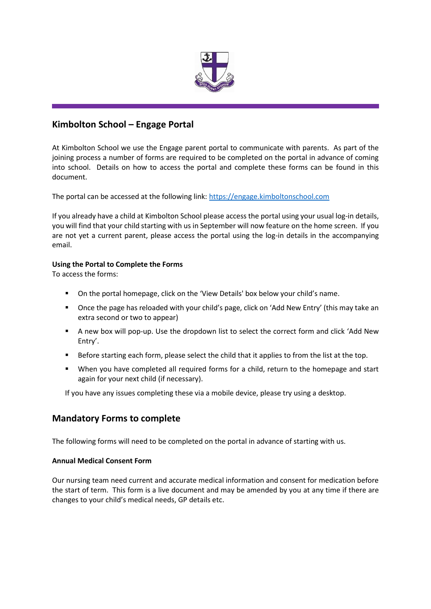

# **Kimbolton School – Engage Portal**

At Kimbolton School we use the Engage parent portal to communicate with parents. As part of the joining process a number of forms are required to be completed on the portal in advance of coming into school. Details on how to access the portal and complete these forms can be found in this document.

The portal can be accessed at the following link: [https://engage.kimboltonschool.com](https://engage.kimboltonschool.com/)

If you already have a child at Kimbolton School please access the portal using your usual log-in details, you will find that your child starting with us in September will now feature on the home screen. If you are not yet a current parent, please access the portal using the log-in details in the accompanying email.

## **Using the Portal to Complete the Forms**

To access the forms:

- On the portal homepage, click on the 'View Details' box below your child's name.
- Once the page has reloaded with your child's page, click on 'Add New Entry' (this may take an extra second or two to appear)
- A new box will pop-up. Use the dropdown list to select the correct form and click 'Add New Entry'.
- **EXECT** Before starting each form, please select the child that it applies to from the list at the top.
- When you have completed all required forms for a child, return to the homepage and start again for your next child (if necessary).

If you have any issues completing these via a mobile device, please try using a desktop.

# **Mandatory Forms to complete**

The following forms will need to be completed on the portal in advance of starting with us.

### **Annual Medical Consent Form**

Our nursing team need current and accurate medical information and consent for medication before the start of term. This form is a live document and may be amended by you at any time if there are changes to your child's medical needs, GP details etc.